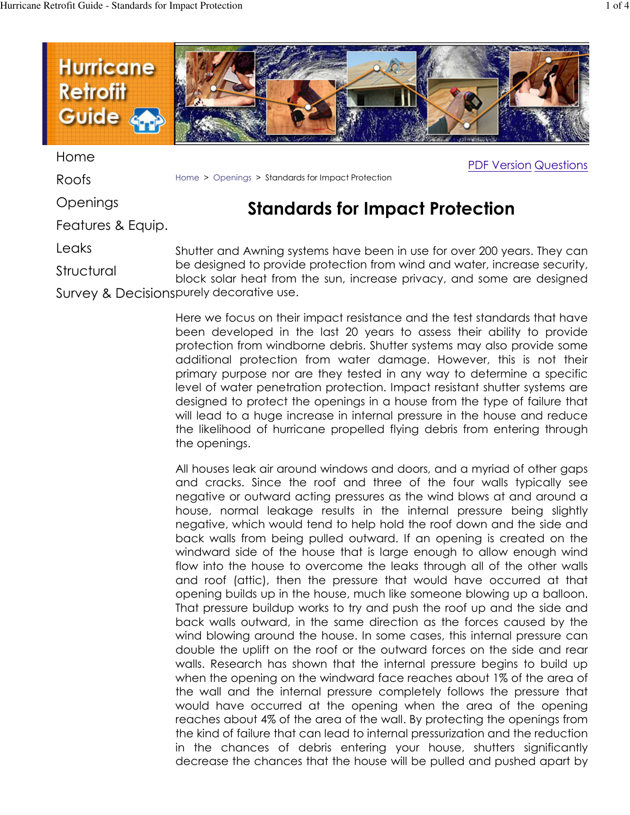**PDF Version Questions** 



Home

Roofs

Openings

Features & Equip.

Leaks

Structural

Home > Openings > Standards for Impact Protection

## **Standards for Impact Protection**

Shutter and Awning systems have been in use for over 200 years. They can be designed to provide protection from wind and water, increase security, block solar heat from the sun, increase privacy, and some are designed Survey & Decisionspurely decorative use.

> Here we focus on their impact resistance and the test standards that have been developed in the last 20 years to assess their ability to provide protection from windborne debris. Shutter systems may also provide some additional protection from water damage. However, this is not their primary purpose nor are they tested in any way to determine a specific level of water penetration protection. Impact resistant shutter systems are designed to protect the openings in a house from the type of failure that will lead to a huge increase in internal pressure in the house and reduce the likelihood of hurricane propelled flying debris from entering through the openings.

> All houses leak air around windows and doors, and a myriad of other gaps and cracks. Since the roof and three of the four walls typically see negative or outward acting pressures as the wind blows at and around a house, normal leakage results in the internal pressure being slightly negative, which would tend to help hold the roof down and the side and back walls from being pulled outward. If an opening is created on the windward side of the house that is large enough to allow enough wind flow into the house to overcome the leaks through all of the other walls and roof (attic), then the pressure that would have occurred at that opening builds up in the house, much like someone blowing up a balloon. That pressure buildup works to try and push the roof up and the side and back walls outward, in the same direction as the forces caused by the wind blowing around the house. In some cases, this internal pressure can double the uplift on the roof or the outward forces on the side and rear walls. Research has shown that the internal pressure begins to build up when the opening on the windward face reaches about 1% of the area of the wall and the internal pressure completely follows the pressure that would have occurred at the opening when the area of the opening reaches about 4% of the area of the wall. By protecting the openings from the kind of failure that can lead to internal pressurization and the reduction in the chances of debris entering your house, shutters significantly decrease the chances that the house will be pulled and pushed apart by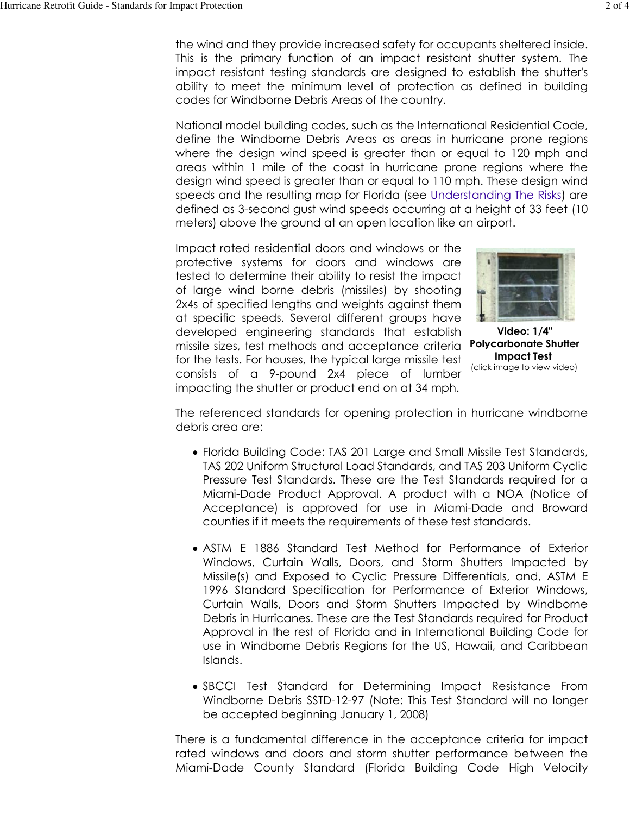the wind and they provide increased safety for occupants sheltered inside. This is the primary function of an impact resistant shutter system. The impact resistant testing standards are designed to establish the shutter's ability to meet the minimum level of protection as defined in building codes for Windborne Debris Areas of the country.

National model building codes, such as the International Residential Code, define the Windborne Debris Areas as areas in hurricane prone regions where the design wind speed is greater than or equal to 120 mph and areas within 1 mile of the coast in hurricane prone regions where the design wind speed is greater than or equal to 110 mph. These design wind speeds and the resulting map for Florida (see Understanding The Risks) are defined as 3-second gust wind speeds occurring at a height of 33 feet (10) meters) above the ground at an open location like an airport.

Impact rated residential doors and windows or the protective systems for doors and windows are tested to determine their ability to resist the impact of large wind borne debris (missiles) by shooting 2x4s of specified lengths and weights against them at specific speeds. Several different groups have developed engineering standards that establish missile sizes, test methods and acceptance criteria for the tests. For houses, the typical large missile test consists of a 9-pound 2x4 piece of lumber impacting the shutter or product end on at 34 mph.



Video: 1/4" **Polycarbonate Shutter Impact Test** (click image to view video)

The referenced standards for opening protection in hurricane windborne debris area are:

- Florida Building Code: TAS 201 Large and Small Missile Test Standards, TAS 202 Uniform Structural Load Standards, and TAS 203 Uniform Cyclic Pressure Test Standards. These are the Test Standards required for a Miami-Dade Product Approval. A product with a NOA (Notice of Acceptance) is approved for use in Miami-Dade and Broward counties if it meets the requirements of these test standards.
- ASTM E 1886 Standard Test Method for Performance of Exterior Windows, Curtain Walls, Doors, and Storm Shutters Impacted by Missile(s) and Exposed to Cyclic Pressure Differentials, and, ASTM E 1996 Standard Specification for Performance of Exterior Windows, Curtain Walls, Doors and Storm Shutters Impacted by Windborne Debris in Hurricanes. These are the Test Standards required for Product Approval in the rest of Florida and in International Building Code for use in Windborne Debris Regions for the US, Hawaii, and Caribbean Islands.
- SBCCI Test Standard for Determining Impact Resistance From Windborne Debris SSTD-12-97 (Note: This Test Standard will no longer be accepted beginning January 1, 2008)

There is a fundamental difference in the acceptance criteria for impact rated windows and doors and storm shutter performance between the Miami-Dade County Standard (Florida Building Code High Velocity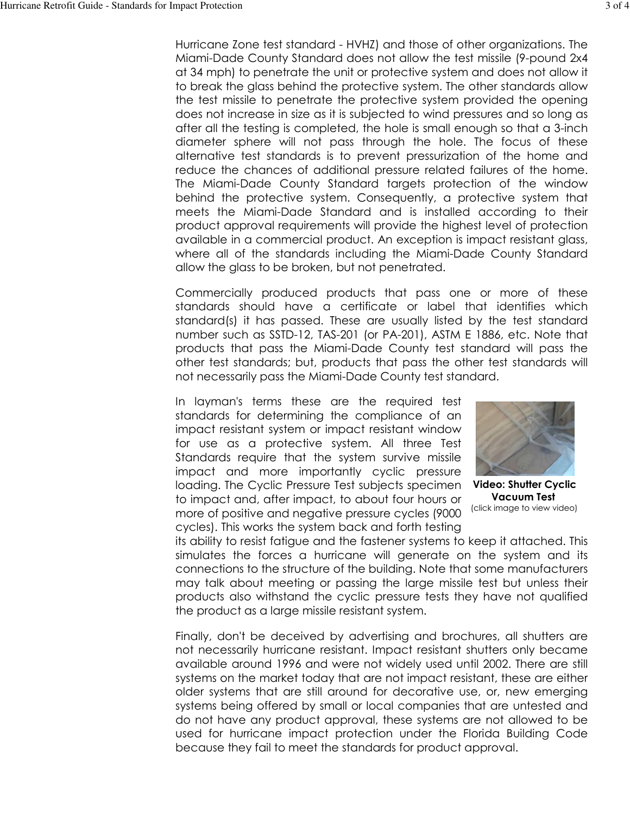Hurricane Zone test standard - HVHZ) and those of other organizations. The Miami-Dade County Standard does not allow the test missile (9-pound 2x4 at 34 mph) to penetrate the unit or protective system and does not allow it to break the glass behind the protective system. The other standards allow the test missile to penetrate the protective system provided the opening does not increase in size as it is subjected to wind pressures and so long as after all the testing is completed, the hole is small enough so that a 3-inch diameter sphere will not pass through the hole. The focus of these alternative test standards is to prevent pressurization of the home and reduce the chances of additional pressure related failures of the home. The Miami-Dade County Standard targets protection of the window behind the protective system. Consequently, a protective system that meets the Miami-Dade Standard and is installed according to their product approval requirements will provide the highest level of protection available in a commercial product. An exception is impact resistant glass, where all of the standards including the Miami-Dade County Standard allow the glass to be broken, but not penetrated.

Commercially produced products that pass one or more of these standards should have a certificate or label that identifies which standard(s) it has passed. These are usually listed by the test standard number such as SSTD-12, TAS-201 (or PA-201), ASTM E 1886, etc. Note that products that pass the Miami-Dade County test standard will pass the other test standards; but, products that pass the other test standards will not necessarily pass the Miami-Dade County test standard.

In layman's terms these are the required test standards for determining the compliance of an impact resistant system or impact resistant window for use as a protective system. All three Test Standards require that the system survive missile impact and more importantly cyclic pressure loading. The Cyclic Pressure Test subjects specimen to impact and, after impact, to about four hours or more of positive and negative pressure cycles (9000) cycles). This works the system back and forth testing



**Video: Shutter Cyclic Vacuum Test** (click image to view video)

its ability to resist fatique and the fastener systems to keep it attached. This simulates the forces a hurricane will generate on the system and its connections to the structure of the building. Note that some manufacturers may talk about meeting or passing the large missile test but unless their products also withstand the cyclic pressure tests they have not qualified the product as a large missile resistant system.

Finally, don't be deceived by advertising and brochures, all shutters are not necessarily hurricane resistant. Impact resistant shutters only became available around 1996 and were not widely used until 2002. There are still systems on the market today that are not impact resistant, these are either older systems that are still around for decorative use, or, new emerging systems being offered by small or local companies that are untested and do not have any product approval, these systems are not allowed to be used for hurricane impact protection under the Florida Building Code because they fail to meet the standards for product approval.